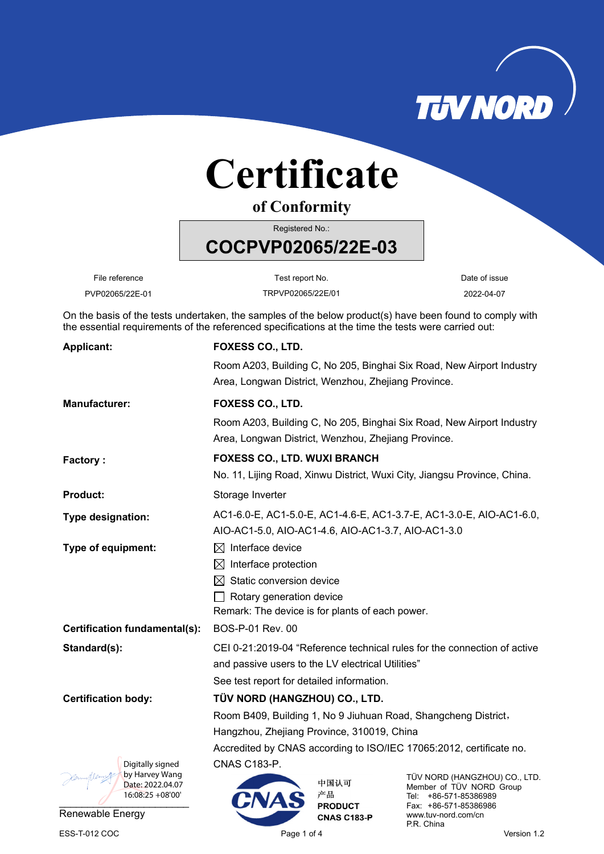

## **Certificate**

**of Conformity**

Registered No.:

**COCPVP02065/22E-03** 

File reference **Test report No.** Test report No. Test report No.

PVP02065/22E-01 TRPVP02065/22E/01 2022-04-07

On the basis of the tests undertaken, the samples of the below product(s) have been found to comply with the essential requirements of the referenced specifications at the time the tests were carried out:

| <b>Applicant:</b>                  | <b>FOXESS CO., LTD.</b>                                                                                                      |                      |                                                           |  |  |
|------------------------------------|------------------------------------------------------------------------------------------------------------------------------|----------------------|-----------------------------------------------------------|--|--|
|                                    | Room A203, Building C, No 205, Binghai Six Road, New Airport Industry<br>Area, Longwan District, Wenzhou, Zhejiang Province. |                      |                                                           |  |  |
|                                    |                                                                                                                              |                      |                                                           |  |  |
| <b>Manufacturer:</b>               | FOXESS CO., LTD.                                                                                                             |                      |                                                           |  |  |
|                                    | Room A203, Building C, No 205, Binghai Six Road, New Airport Industry<br>Area, Longwan District, Wenzhou, Zhejiang Province. |                      |                                                           |  |  |
| <b>Factory:</b>                    | <b>FOXESS CO., LTD. WUXI BRANCH</b>                                                                                          |                      |                                                           |  |  |
|                                    | No. 11, Lijing Road, Xinwu District, Wuxi City, Jiangsu Province, China.                                                     |                      |                                                           |  |  |
| <b>Product:</b>                    | Storage Inverter                                                                                                             |                      |                                                           |  |  |
| Type designation:                  | AC1-6.0-E, AC1-5.0-E, AC1-4.6-E, AC1-3.7-E, AC1-3.0-E, AIO-AC1-6.0,                                                          |                      |                                                           |  |  |
|                                    | AIO-AC1-5.0, AIO-AC1-4.6, AIO-AC1-3.7, AIO-AC1-3.0                                                                           |                      |                                                           |  |  |
| Type of equipment:                 | $\boxtimes$ Interface device                                                                                                 |                      |                                                           |  |  |
|                                    | $\boxtimes$ Interface protection                                                                                             |                      |                                                           |  |  |
|                                    | $\boxtimes$ Static conversion device                                                                                         |                      |                                                           |  |  |
|                                    | $\Box$ Rotary generation device                                                                                              |                      |                                                           |  |  |
|                                    | Remark: The device is for plants of each power.                                                                              |                      |                                                           |  |  |
| Certification fundamental(s):      | BOS-P-01 Rev. 00                                                                                                             |                      |                                                           |  |  |
| Standard(s):                       | CEI 0-21:2019-04 "Reference technical rules for the connection of active                                                     |                      |                                                           |  |  |
|                                    | and passive users to the LV electrical Utilities"                                                                            |                      |                                                           |  |  |
|                                    | See test report for detailed information.                                                                                    |                      |                                                           |  |  |
| <b>Certification body:</b>         | TÜV NORD (HANGZHOU) CO., LTD.                                                                                                |                      |                                                           |  |  |
|                                    | Room B409, Building 1, No 9 Jiuhuan Road, Shangcheng District,                                                               |                      |                                                           |  |  |
|                                    | Hangzhou, Zhejiang Province, 310019, China                                                                                   |                      |                                                           |  |  |
|                                    | Accredited by CNAS according to ISO/IEC 17065:2012, certificate no.                                                          |                      |                                                           |  |  |
| Digitally signed                   | <b>CNAS C183-P.</b>                                                                                                          |                      |                                                           |  |  |
| by Harvey Wang<br>Date: 2022.04.07 |                                                                                                                              | 中国认可                 | TÜV NORD (HANGZHOU) CO., LTD.<br>Member of TÜV NORD Group |  |  |
| $16:08:25 + 08'00'$                |                                                                                                                              | 产品<br><b>PRODUCT</b> | Tel: +86-571-85386989<br>Fax: +86-571-85386986            |  |  |
| Renewable Energy                   |                                                                                                                              | <b>CNAS C183-P</b>   | www.tuv-nord.com/cn                                       |  |  |

P.R. China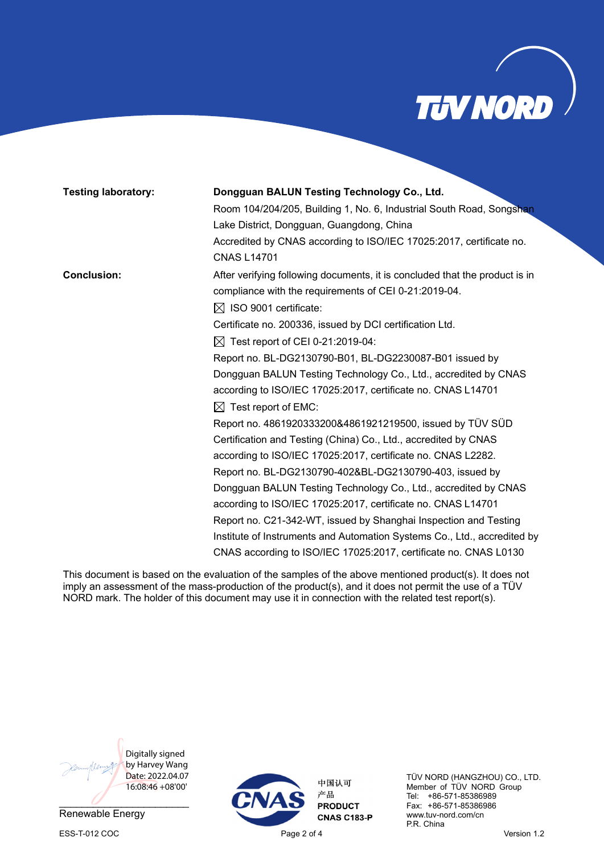

| <b>Testing laboratory:</b> | Dongguan BALUN Testing Technology Co., Ltd.                                 |  |  |  |  |
|----------------------------|-----------------------------------------------------------------------------|--|--|--|--|
|                            | Room 104/204/205, Building 1, No. 6, Industrial South Road, Songshan        |  |  |  |  |
|                            | Lake District, Dongguan, Guangdong, China                                   |  |  |  |  |
|                            | Accredited by CNAS according to ISO/IEC 17025:2017, certificate no.         |  |  |  |  |
|                            | <b>CNAS L14701</b>                                                          |  |  |  |  |
| <b>Conclusion:</b>         | After verifying following documents, it is concluded that the product is in |  |  |  |  |
|                            | compliance with the requirements of CEI 0-21:2019-04.                       |  |  |  |  |
|                            | $\boxtimes$ ISO 9001 certificate:                                           |  |  |  |  |
|                            | Certificate no. 200336, issued by DCI certification Ltd.                    |  |  |  |  |
|                            | $\boxtimes$ Test report of CEI 0-21:2019-04:                                |  |  |  |  |
|                            | Report no. BL-DG2130790-B01, BL-DG2230087-B01 issued by                     |  |  |  |  |
|                            | Dongguan BALUN Testing Technology Co., Ltd., accredited by CNAS             |  |  |  |  |
|                            | according to ISO/IEC 17025:2017, certificate no. CNAS L14701                |  |  |  |  |
|                            | $\boxtimes$ Test report of EMC:                                             |  |  |  |  |
|                            | Report no. 4861920333200&4861921219500, issued by TÜV SÜD                   |  |  |  |  |
|                            | Certification and Testing (China) Co., Ltd., accredited by CNAS             |  |  |  |  |
|                            | according to ISO/IEC 17025:2017, certificate no. CNAS L2282.                |  |  |  |  |
|                            | Report no. BL-DG2130790-402&BL-DG2130790-403, issued by                     |  |  |  |  |
|                            | Dongguan BALUN Testing Technology Co., Ltd., accredited by CNAS             |  |  |  |  |
|                            | according to ISO/IEC 17025:2017, certificate no. CNAS L14701                |  |  |  |  |
|                            | Report no. C21-342-WT, issued by Shanghai Inspection and Testing            |  |  |  |  |
|                            | Institute of Instruments and Automation Systems Co., Ltd., accredited by    |  |  |  |  |
|                            | CNAS according to ISO/IEC 17025:2017, certificate no. CNAS L0130            |  |  |  |  |

This document is based on the evaluation of the samples of the above mentioned product(s). It does not imply an assessment of the mass-production of the product(s), and it does not permit the use of a TÜV NORD mark. The holder of this document may use it in connection with the related test report(s).



Renewable Energy ESS-T-012 COC **Page 2 of 4** Page 2 of 4 Version 1.2



中国认可 产品 **PRODUCT CNAS C183-P**  TÜV NORD (HANGZHOU) CO., LTD. Member of TÜV NORD Group Tel: +86-571-85386989 Fax: +86-571-85386986 www.tuv-nord.com/cn P.R. China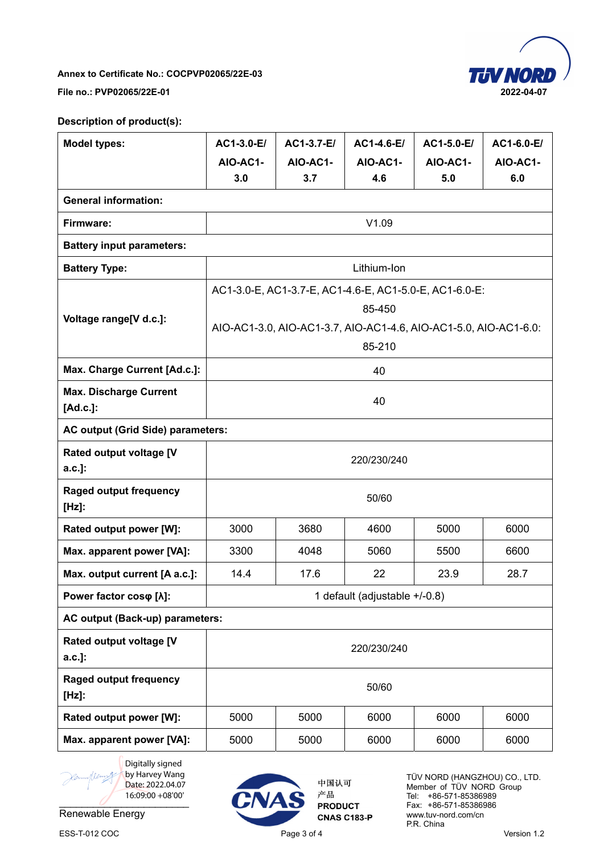

**Annex to Certificate No.: COCPVP02065/22E-03** 

**File no.: PVP02065/22E-01 2022-04-07** 

## **Description of product(s):**

| <b>Model types:</b>                       | AC1-3.0-E/                                             | AC1-3.7-E/                                                       | AC1-4.6-E/ | AC1-5.0-E/ | AC1-6.0-E/ |  |
|-------------------------------------------|--------------------------------------------------------|------------------------------------------------------------------|------------|------------|------------|--|
|                                           | AIO-AC1-                                               | AIO-AC1-                                                         | AIO-AC1-   | AIO-AC1-   | AIO-AC1-   |  |
|                                           | 3.0                                                    | 3.7                                                              | 4.6        | 5.0        | 6.0        |  |
| <b>General information:</b>               |                                                        |                                                                  |            |            |            |  |
| Firmware:                                 |                                                        |                                                                  | V1.09      |            |            |  |
| <b>Battery input parameters:</b>          |                                                        |                                                                  |            |            |            |  |
| <b>Battery Type:</b>                      | Lithium-Ion                                            |                                                                  |            |            |            |  |
|                                           | AC1-3.0-E, AC1-3.7-E, AC1-4.6-E, AC1-5.0-E, AC1-6.0-E: |                                                                  |            |            |            |  |
| Voltage range[V d.c.]:                    | 85-450                                                 |                                                                  |            |            |            |  |
|                                           |                                                        | AIO-AC1-3.0, AIO-AC1-3.7, AIO-AC1-4.6, AIO-AC1-5.0, AIO-AC1-6.0: |            |            |            |  |
|                                           | 85-210                                                 |                                                                  |            |            |            |  |
| Max. Charge Current [Ad.c.]:              |                                                        |                                                                  | 40         |            |            |  |
| <b>Max. Discharge Current</b><br>[Ad.c.]: | 40                                                     |                                                                  |            |            |            |  |
| AC output (Grid Side) parameters:         |                                                        |                                                                  |            |            |            |  |
| Rated output voltage [V<br>a.c.]:         | 220/230/240                                            |                                                                  |            |            |            |  |
| <b>Raged output frequency</b><br>$[Hz]$ : | 50/60                                                  |                                                                  |            |            |            |  |
| Rated output power [W]:                   | 3000                                                   | 3680                                                             | 4600       | 5000       | 6000       |  |
| Max. apparent power [VA]:                 | 3300                                                   | 4048                                                             | 5060       | 5500       | 6600       |  |
| Max. output current [A a.c.]:             | 14.4                                                   | 17.6                                                             | 22         | 23.9       | 28.7       |  |
| Power factor coso [ $\lambda$ ]:          | 1 default (adjustable +/-0.8)                          |                                                                  |            |            |            |  |
| AC output (Back-up) parameters:           |                                                        |                                                                  |            |            |            |  |
| Rated output voltage [V<br>a.c.]:         | 220/230/240                                            |                                                                  |            |            |            |  |
| <b>Raged output frequency</b><br>$[Hz]$ : | 50/60                                                  |                                                                  |            |            |            |  |
| Rated output power [W]:                   | 5000                                                   | 5000                                                             | 6000       | 6000       | 6000       |  |
| Max. apparent power [VA]:                 | 5000                                                   | 5000                                                             | 6000       | 6000       | 6000       |  |

 $\overline{a}$  .  $\overline{a}$  .  $\overline{a}$  .  $\overline{a}$  .  $\overline{a}$  .  $\overline{a}$ Digitally signed by Harvey Wang Date: 2022.04.07 16:09:00 +08'00'

Renewable Energy



中国认可 产品 **PRODUCT CNAS C183-P** 

TÜV NORD (HANGZHOU) CO., LTD. Member of TÜV NORD Group Tel: +86-571-85386989 Fax: +86-571-85386986 www.tuv-nord.com/cn P.R. China